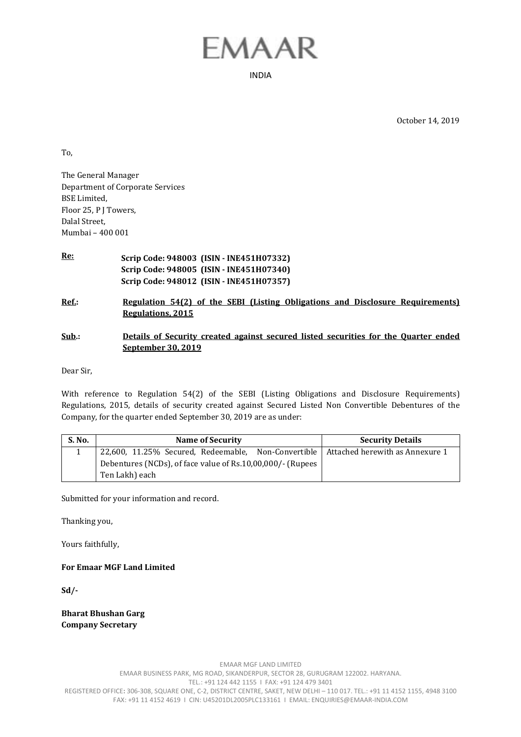## EMAAR

INDIA

October 14, 2019

To,

The General Manager Department of Corporate Services BSE Limited, Floor 25, P J Towers, Dalal Street, Mumbai – 400 001

- **Re: Scrip Code: 948003 (ISIN INE451H07332) Scrip Code: 948005 (ISIN - INE451H07340) Scrip Code: 948012 (ISIN - INE451H07357)**
- **Ref.: Regulation 54(2) of the SEBI (Listing Obligations and Disclosure Requirements) Regulations, 2015**
- **Sub.: Details of Security created against secured listed securities for the Quarter ended September 30, 2019**

Dear Sir,

With reference to Regulation 54(2) of the SEBI (Listing Obligations and Disclosure Requirements) Regulations, 2015, details of security created against Secured Listed Non Convertible Debentures of the Company, for the quarter ended September 30, 2019 are as under:

| <b>S. No.</b> | Name of Security                                                                      | <b>Security Details</b> |
|---------------|---------------------------------------------------------------------------------------|-------------------------|
|               | 22,600, 11.25% Secured, Redeemable, Non-Convertible   Attached herewith as Annexure 1 |                         |
|               | Debentures (NCDs), of face value of Rs.10,00,000/- (Rupees                            |                         |
|               | Ten Lakh) each                                                                        |                         |

Submitted for your information and record.

Thanking you,

Yours faithfully,

**For Emaar MGF Land Limited** 

**Sd/-** 

**Bharat Bhushan Garg Company Secretary**